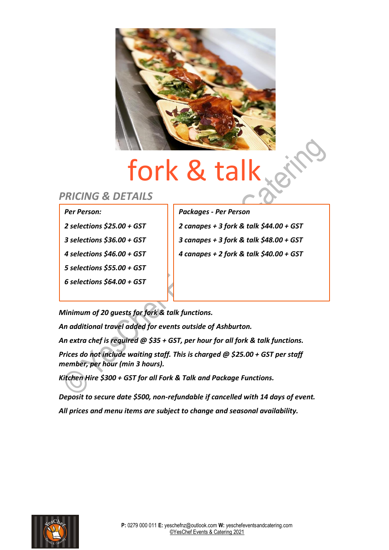

## fork & talk

### *PRICING & DETAILS*

#### *Per Person:*

- *2 selections \$25.00 + GST*
- *3 selections \$36.00 + GST*
- *4 selections \$46.00 + GST*
- *5 selections \$55.00 + GST*
- *6 selections \$64.00 + GST*

*Packages - Per Person*

*2 canapes + 3 fork & talk \$44.00 + GST 3 canapes + 3 fork & talk \$48.00 + GST 4 canapes + 2 fork & talk \$40.00 + GST*

*Minimum of 20 guests for fork & talk functions.*

*An additional travel added for events outside of Ashburton.*

*An extra chef is required @ \$35 + GST, per hour for all fork & talk functions.*

*Prices do not include waiting staff. This is charged @ \$25.00 + GST per staff member, per hour (min 3 hours).* 

*Kitchen Hire \$300 + GST for all Fork & Talk and Package Functions.*

*Deposit to secure date \$500, non-refundable if cancelled with 14 days of event. All prices and menu items are subject to change and seasonal availability.* 

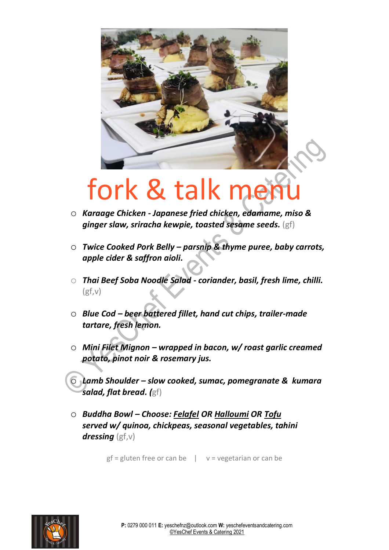

### fork & talk men

- o *Karaage Chicken - Japanese fried chicken, edamame, miso & ginger slaw, sriracha kewpie, toasted sesame seeds.* (gf)
- o *Twice Cooked Pork Belly – parsnip & thyme puree, baby carrots, apple cider & saffron aioli.*
- o *Thai Beef Soba Noodle Salad - coriander, basil, fresh lime, chilli.*  $(gf,v)$
- o *Blue Cod – beer battered fillet, hand cut chips, trailer-made tartare, fresh lemon.*
- o *Mini Filet Mignon – wrapped in bacon, w/ roast garlic creamed potato, pinot noir & rosemary jus.*

o *Lamb Shoulder – slow cooked, sumac, pomegranate & kumara salad, flat bread. (*gf)

o *Buddha Bowl – Choose: Felafel OR Halloumi OR Tofu served w/ quinoa, chickpeas, seasonal vegetables, tahini dressing* (gf,v)

 $gf = gluten free or can be$   $|$   $v = vegetarian or can be$